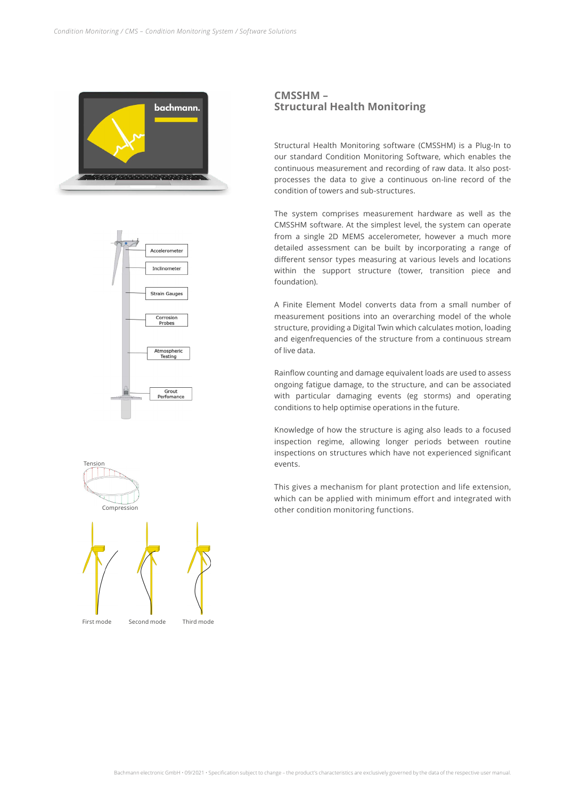





## **CMSSHM – Structural Health Monitoring**

Structural Health Monitoring software (CMSSHM) is a Plug-In to our standard Condition Monitoring Software, which enables the continuous measurement and recording of raw data. It also postprocesses the data to give a continuous on-line record of the condition of towers and sub-structures.

The system comprises measurement hardware as well as the CMSSHM software. At the simplest level, the system can operate from a single 2D MEMS accelerometer, however a much more detailed assessment can be built by incorporating a range of different sensor types measuring at various levels and locations within the support structure (tower, transition piece and foundation).

A Finite Element Model converts data from a small number of measurement positions into an overarching model of the whole structure, providing a Digital Twin which calculates motion, loading and eigenfrequencies of the structure from a continuous stream of live data.

Rainflow counting and damage equivalent loads are used to assess ongoing fatigue damage, to the structure, and can be associated with particular damaging events (eg storms) and operating conditions to help optimise operations in the future.

Knowledge of how the structure is aging also leads to a focused inspection regime, allowing longer periods between routine inspections on structures which have not experienced significant events.

This gives a mechanism for plant protection and life extension, which can be applied with minimum effort and integrated with other condition monitoring functions.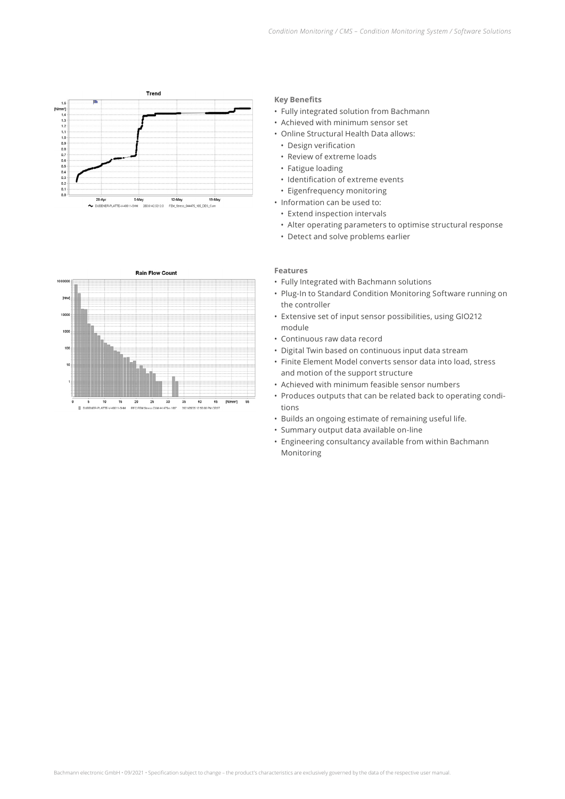



## **Key Benefits**

- Fully integrated solution from Bachmann
- Achieved with minimum sensor set
- Online Structural Health Data allows:
	- Design verification
	- Review of extreme loads
- Fatigue loading
- Identification of extreme events
- Eigenfrequency monitoring
- Information can be used to:
	- Extend inspection intervals
	- Alter operating parameters to optimise structural response
	- Detect and solve problems earlier

## **Features**

- Fully Integrated with Bachmann solutions
- Plug-In to Standard Condition Monitoring Software running on the controller
- Extensive set of input sensor possibilities, using GIO212 module
- Continuous raw data record
- Digital Twin based on continuous input data stream
- Finite Element Model converts sensor data into load, stress and motion of the support structure
- Achieved with minimum feasible sensor numbers
- Produces outputs that can be related back to operating conditions
- Builds an ongoing estimate of remaining useful life.
- Summary output data available on-line
- Engineering consultancy available from within Bachmann Monitoring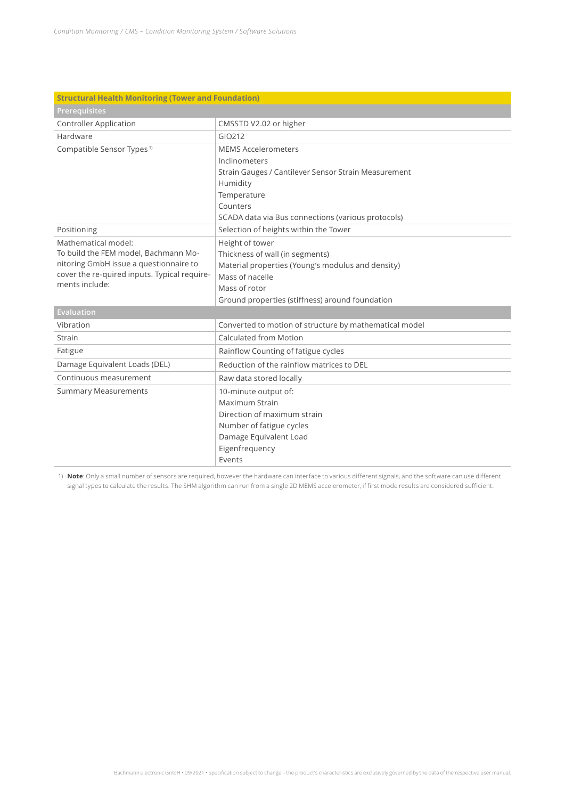| <b>Structural Health Monitoring (Tower and Foundation)</b>     |                                                        |  |
|----------------------------------------------------------------|--------------------------------------------------------|--|
| Prerequisites                                                  |                                                        |  |
| <b>Controller Application</b>                                  | CMSSTD V2.02 or higher                                 |  |
| Hardware                                                       | GIO212                                                 |  |
| Compatible Sensor Types <sup>1)</sup>                          | <b>MEMS Accelerometers</b>                             |  |
|                                                                | Inclinometers                                          |  |
|                                                                | Strain Gauges / Cantilever Sensor Strain Measurement   |  |
|                                                                | Humidity                                               |  |
|                                                                | Temperature                                            |  |
|                                                                | Counters                                               |  |
|                                                                | SCADA data via Bus connections (various protocols)     |  |
| Positioning                                                    | Selection of heights within the Tower                  |  |
| Mathematical model:                                            | Height of tower                                        |  |
| To build the FEM model, Bachmann Mo-                           | Thickness of wall (in segments)                        |  |
| nitoring GmbH issue a questionnaire to                         | Material properties (Young's modulus and density)      |  |
| cover the re-quired inputs. Typical require-<br>ments include: | Mass of nacelle                                        |  |
|                                                                | Mass of rotor                                          |  |
|                                                                | Ground properties (stiffness) around foundation        |  |
| <b>Evaluation</b>                                              |                                                        |  |
| Vibration                                                      | Converted to motion of structure by mathematical model |  |
| Strain                                                         | <b>Calculated from Motion</b>                          |  |
| Fatigue                                                        | Rainflow Counting of fatigue cycles                    |  |
| Damage Equivalent Loads (DEL)                                  | Reduction of the rainflow matrices to DEL              |  |
| Continuous measurement                                         | Raw data stored locally                                |  |
| <b>Summary Measurements</b>                                    | 10-minute output of:                                   |  |
|                                                                | Maximum Strain                                         |  |
|                                                                | Direction of maximum strain                            |  |
|                                                                | Number of fatigue cycles                               |  |
|                                                                | Damage Equivalent Load                                 |  |
|                                                                | Eigenfrequency                                         |  |
|                                                                | Events                                                 |  |

 1) **Note**: Only a small number of sensors are required, however the hardware can interface to various different signals, and the software can use different signal types to calculate the results. The SHM algorithm can run from a single 2D MEMS accelerometer, if first mode results are considered sufficient.